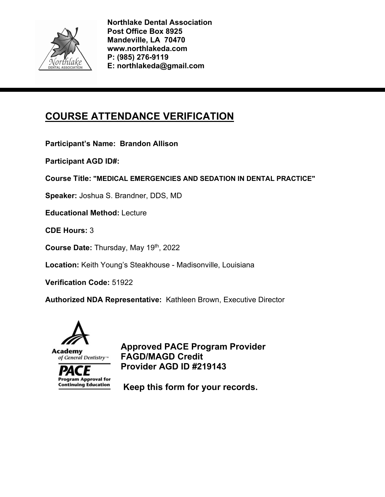

# **COURSE ATTENDANCE VERIFICATION**

**Participant's Name: Brandon Allison** 

**Participant AGD ID#:** 

**Course Title: "MEDICAL EMERGENCIES AND SEDATION IN DENTAL PRACTICE"** 

**Speaker:** Joshua S. Brandner, DDS, MD

**Educational Method:** Lecture

**CDE Hours:** 3

**Course Date:** Thursday, May 19th, 2022

**Location:** Keith Young's Steakhouse - Madisonville, Louisiana

**Verification Code:** 51922

**Authorized NDA Representative:** Kathleen Brown, Executive Director



**Program Approval for Continuing Education** 

**Approved PACE Program Provider FAGD/MAGD Credit Provider AGD ID #219143**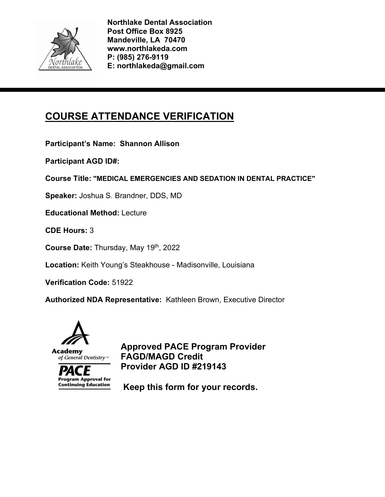

# **COURSE ATTENDANCE VERIFICATION**

**Participant's Name: Shannon Allison** 

**Participant AGD ID#:** 

**Course Title: "MEDICAL EMERGENCIES AND SEDATION IN DENTAL PRACTICE"** 

**Speaker:** Joshua S. Brandner, DDS, MD

**Educational Method:** Lecture

**CDE Hours:** 3

**Course Date:** Thursday, May 19th, 2022

**Location:** Keith Young's Steakhouse - Madisonville, Louisiana

**Verification Code:** 51922

**Authorized NDA Representative:** Kathleen Brown, Executive Director



**Program Approval for Continuing Education** 

**Approved PACE Program Provider FAGD/MAGD Credit Provider AGD ID #219143**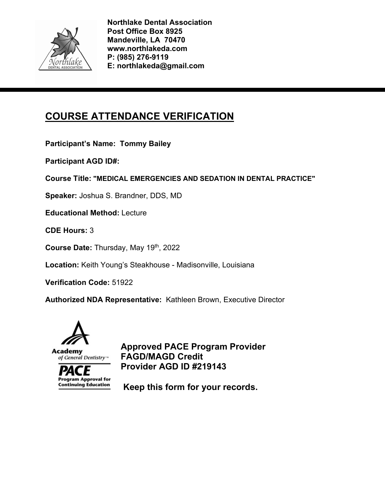

# **COURSE ATTENDANCE VERIFICATION**

**Participant's Name: Tommy Bailey** 

**Participant AGD ID#:** 

**Course Title: "MEDICAL EMERGENCIES AND SEDATION IN DENTAL PRACTICE"** 

**Speaker:** Joshua S. Brandner, DDS, MD

**Educational Method:** Lecture

**CDE Hours:** 3

**Course Date:** Thursday, May 19th, 2022

**Location:** Keith Young's Steakhouse - Madisonville, Louisiana

**Verification Code:** 51922

**Authorized NDA Representative:** Kathleen Brown, Executive Director



**Program Approval for Continuing Education** 

**Approved PACE Program Provider FAGD/MAGD Credit Provider AGD ID #219143**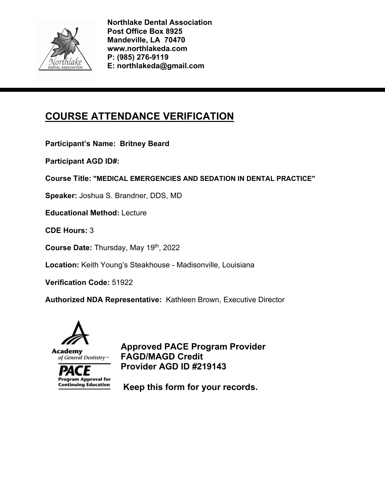

# **COURSE ATTENDANCE VERIFICATION**

**Participant's Name: Britney Beard** 

**Participant AGD ID#:** 

**Course Title: "MEDICAL EMERGENCIES AND SEDATION IN DENTAL PRACTICE"** 

**Speaker:** Joshua S. Brandner, DDS, MD

**Educational Method:** Lecture

**CDE Hours:** 3

**Course Date:** Thursday, May 19th, 2022

**Location:** Keith Young's Steakhouse - Madisonville, Louisiana

**Verification Code:** 51922

**Authorized NDA Representative:** Kathleen Brown, Executive Director



**Program Approval for Continuing Education** 

**Approved PACE Program Provider FAGD/MAGD Credit Provider AGD ID #219143**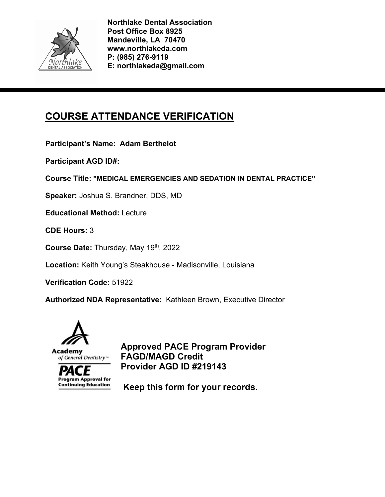

# **COURSE ATTENDANCE VERIFICATION**

**Participant's Name: Adam Berthelot** 

**Participant AGD ID#:** 

**Course Title: "MEDICAL EMERGENCIES AND SEDATION IN DENTAL PRACTICE"** 

**Speaker:** Joshua S. Brandner, DDS, MD

**Educational Method:** Lecture

**CDE Hours:** 3

**Course Date:** Thursday, May 19th, 2022

**Location:** Keith Young's Steakhouse - Madisonville, Louisiana

**Verification Code:** 51922

**Authorized NDA Representative:** Kathleen Brown, Executive Director



**Program Approval for Continuing Education** 

**Approved PACE Program Provider FAGD/MAGD Credit Provider AGD ID #219143**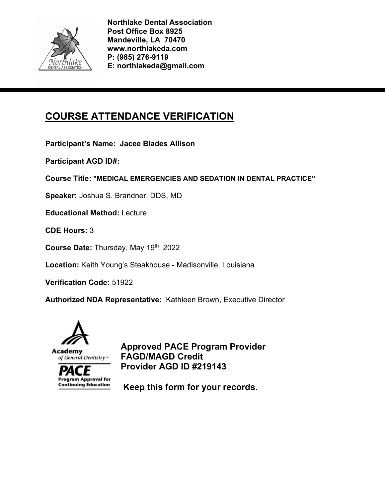

# **COURSE ATTENDANCE VERIFICATION**

**Participant's Name: Jacee Blades Allison** 

**Participant AGD ID#:** 

**Course Title: "MEDICAL EMERGENCIES AND SEDATION IN DENTAL PRACTICE"** 

**Speaker:** Joshua S. Brandner, DDS, MD

**Educational Method:** Lecture

**CDE Hours:** 3

**Course Date:** Thursday, May 19th, 2022

**Location:** Keith Young's Steakhouse - Madisonville, Louisiana

**Verification Code:** 51922

**Authorized NDA Representative:** Kathleen Brown, Executive Director



**Program Approval for Continuing Education** 

**Approved PACE Program Provider FAGD/MAGD Credit Provider AGD ID #219143**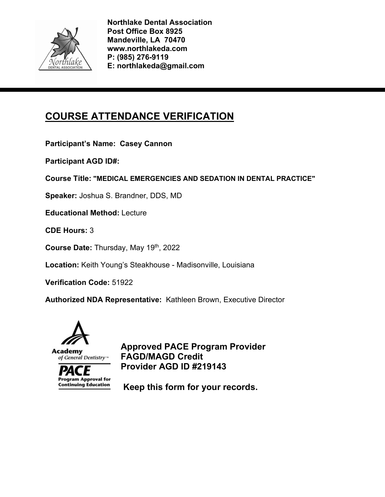

# **COURSE ATTENDANCE VERIFICATION**

**Participant's Name: Casey Cannon** 

**Participant AGD ID#:** 

**Course Title: "MEDICAL EMERGENCIES AND SEDATION IN DENTAL PRACTICE"** 

**Speaker:** Joshua S. Brandner, DDS, MD

**Educational Method:** Lecture

**CDE Hours:** 3

**Course Date:** Thursday, May 19th, 2022

**Location:** Keith Young's Steakhouse - Madisonville, Louisiana

**Verification Code:** 51922

**Authorized NDA Representative:** Kathleen Brown, Executive Director



**Program Approval for Continuing Education** 

**Approved PACE Program Provider FAGD/MAGD Credit Provider AGD ID #219143**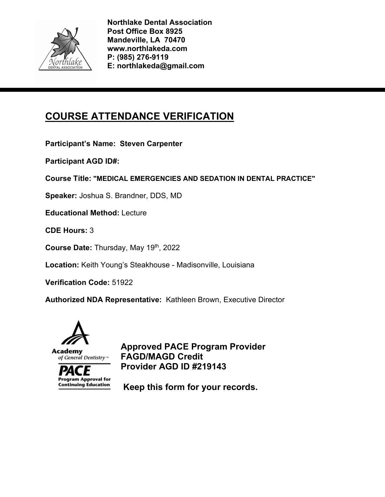

# **COURSE ATTENDANCE VERIFICATION**

**Participant's Name: Steven Carpenter** 

**Participant AGD ID#:** 

**Course Title: "MEDICAL EMERGENCIES AND SEDATION IN DENTAL PRACTICE"** 

**Speaker:** Joshua S. Brandner, DDS, MD

**Educational Method:** Lecture

**CDE Hours:** 3

**Course Date:** Thursday, May 19th, 2022

**Location:** Keith Young's Steakhouse - Madisonville, Louisiana

**Verification Code:** 51922

**Authorized NDA Representative:** Kathleen Brown, Executive Director



**Program Approval for Continuing Education** 

**Approved PACE Program Provider FAGD/MAGD Credit Provider AGD ID #219143**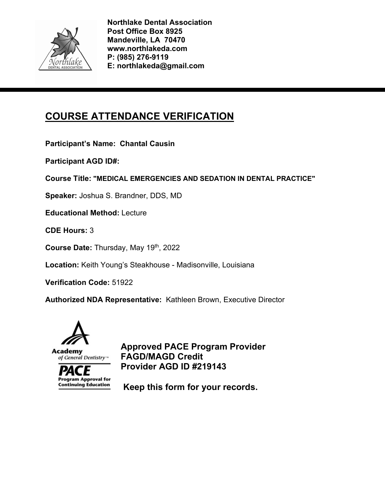

# **COURSE ATTENDANCE VERIFICATION**

**Participant's Name: Chantal Causin** 

**Participant AGD ID#:** 

**Course Title: "MEDICAL EMERGENCIES AND SEDATION IN DENTAL PRACTICE"** 

**Speaker:** Joshua S. Brandner, DDS, MD

**Educational Method:** Lecture

**CDE Hours:** 3

**Course Date:** Thursday, May 19th, 2022

**Location:** Keith Young's Steakhouse - Madisonville, Louisiana

**Verification Code:** 51922

**Authorized NDA Representative:** Kathleen Brown, Executive Director



**Program Approval for Continuing Education** 

**Approved PACE Program Provider FAGD/MAGD Credit Provider AGD ID #219143**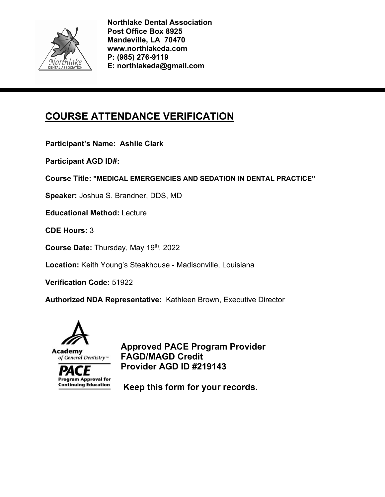

# **COURSE ATTENDANCE VERIFICATION**

**Participant's Name: Ashlie Clark** 

**Participant AGD ID#:** 

**Course Title: "MEDICAL EMERGENCIES AND SEDATION IN DENTAL PRACTICE"** 

**Speaker:** Joshua S. Brandner, DDS, MD

**Educational Method:** Lecture

**CDE Hours:** 3

**Course Date:** Thursday, May 19th, 2022

**Location:** Keith Young's Steakhouse - Madisonville, Louisiana

**Verification Code:** 51922

**Authorized NDA Representative:** Kathleen Brown, Executive Director



**Program Approval for Continuing Education** 

**Approved PACE Program Provider FAGD/MAGD Credit Provider AGD ID #219143**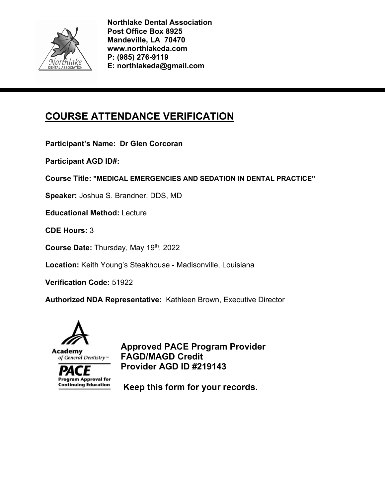

# **COURSE ATTENDANCE VERIFICATION**

**Participant's Name: Dr Glen Corcoran** 

**Participant AGD ID#:** 

**Course Title: "MEDICAL EMERGENCIES AND SEDATION IN DENTAL PRACTICE"** 

**Speaker:** Joshua S. Brandner, DDS, MD

**Educational Method:** Lecture

**CDE Hours:** 3

**Course Date:** Thursday, May 19th, 2022

**Location:** Keith Young's Steakhouse - Madisonville, Louisiana

**Verification Code:** 51922

**Authorized NDA Representative:** Kathleen Brown, Executive Director



**Program Approval for Continuing Education** 

**Approved PACE Program Provider FAGD/MAGD Credit Provider AGD ID #219143**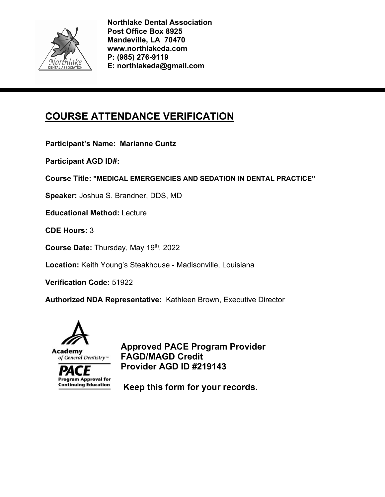

# **COURSE ATTENDANCE VERIFICATION**

**Participant's Name: Marianne Cuntz** 

**Participant AGD ID#:** 

**Course Title: "MEDICAL EMERGENCIES AND SEDATION IN DENTAL PRACTICE"** 

**Speaker:** Joshua S. Brandner, DDS, MD

**Educational Method:** Lecture

**CDE Hours:** 3

**Course Date:** Thursday, May 19th, 2022

**Location:** Keith Young's Steakhouse - Madisonville, Louisiana

**Verification Code:** 51922

**Authorized NDA Representative:** Kathleen Brown, Executive Director



**Program Approval for Continuing Education** 

**Approved PACE Program Provider FAGD/MAGD Credit Provider AGD ID #219143**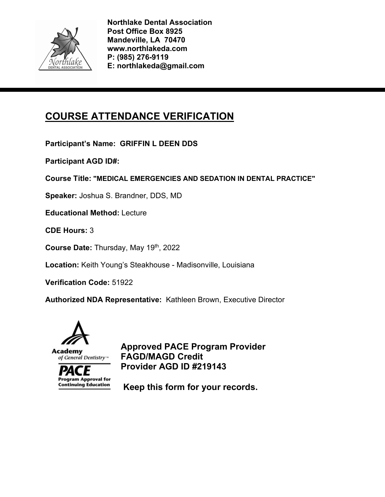

# **COURSE ATTENDANCE VERIFICATION**

**Participant's Name: GRIFFIN L DEEN DDS** 

**Participant AGD ID#:** 

**Course Title: "MEDICAL EMERGENCIES AND SEDATION IN DENTAL PRACTICE"** 

**Speaker:** Joshua S. Brandner, DDS, MD

**Educational Method:** Lecture

**CDE Hours:** 3

**Course Date:** Thursday, May 19th, 2022

**Location:** Keith Young's Steakhouse - Madisonville, Louisiana

**Verification Code:** 51922

**Authorized NDA Representative:** Kathleen Brown, Executive Director



**Program Approval for Continuing Education** 

**Approved PACE Program Provider FAGD/MAGD Credit Provider AGD ID #219143**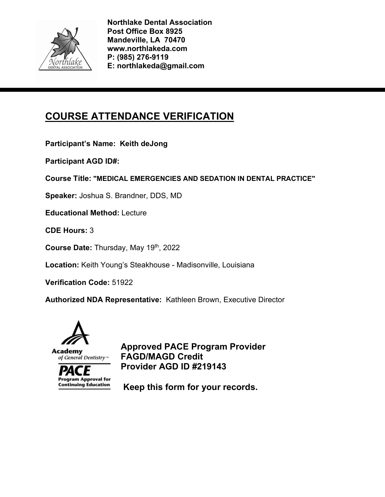

# **COURSE ATTENDANCE VERIFICATION**

**Participant's Name: Keith deJong** 

**Participant AGD ID#:** 

**Course Title: "MEDICAL EMERGENCIES AND SEDATION IN DENTAL PRACTICE"** 

**Speaker:** Joshua S. Brandner, DDS, MD

**Educational Method:** Lecture

**CDE Hours:** 3

**Course Date:** Thursday, May 19th, 2022

**Location:** Keith Young's Steakhouse - Madisonville, Louisiana

**Verification Code:** 51922

**Authorized NDA Representative:** Kathleen Brown, Executive Director



**Program Approval for Continuing Education** 

**Approved PACE Program Provider FAGD/MAGD Credit Provider AGD ID #219143**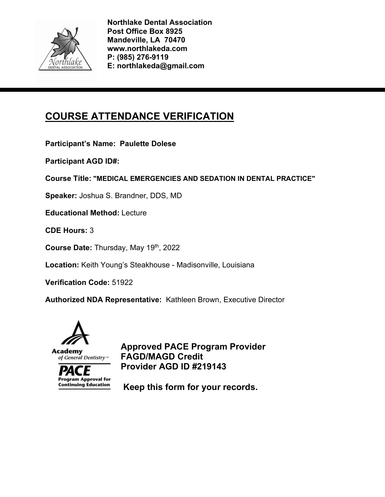

# **COURSE ATTENDANCE VERIFICATION**

**Participant's Name: Paulette Dolese** 

**Participant AGD ID#:** 

**Course Title: "MEDICAL EMERGENCIES AND SEDATION IN DENTAL PRACTICE"** 

**Speaker:** Joshua S. Brandner, DDS, MD

**Educational Method:** Lecture

**CDE Hours:** 3

**Course Date:** Thursday, May 19th, 2022

**Location:** Keith Young's Steakhouse - Madisonville, Louisiana

**Verification Code:** 51922

**Authorized NDA Representative:** Kathleen Brown, Executive Director



**Program Approval for Continuing Education** 

**Approved PACE Program Provider FAGD/MAGD Credit Provider AGD ID #219143**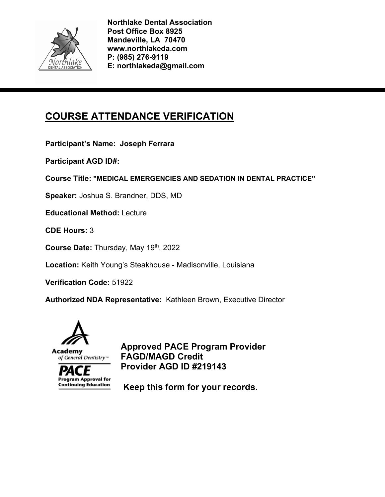

# **COURSE ATTENDANCE VERIFICATION**

**Participant's Name: Joseph Ferrara** 

**Participant AGD ID#:** 

**Course Title: "MEDICAL EMERGENCIES AND SEDATION IN DENTAL PRACTICE"** 

**Speaker:** Joshua S. Brandner, DDS, MD

**Educational Method:** Lecture

**CDE Hours:** 3

**Course Date:** Thursday, May 19th, 2022

**Location:** Keith Young's Steakhouse - Madisonville, Louisiana

**Verification Code:** 51922

**Authorized NDA Representative:** Kathleen Brown, Executive Director



**Program Approval for Continuing Education** 

**Approved PACE Program Provider FAGD/MAGD Credit Provider AGD ID #219143**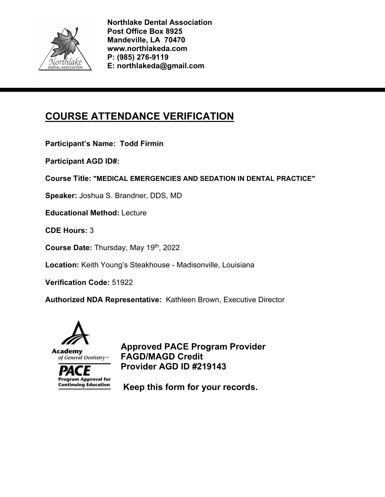

# **COURSE ATTENDANCE VERIFICATION**

**Participant's Name: Todd Firmin** 

**Participant AGD ID#:** 

**Course Title: "MEDICAL EMERGENCIES AND SEDATION IN DENTAL PRACTICE"** 

**Speaker:** Joshua S. Brandner, DDS, MD

**Educational Method:** Lecture

**CDE Hours:** 3

**Course Date:** Thursday, May 19th, 2022

**Location:** Keith Young's Steakhouse - Madisonville, Louisiana

**Verification Code:** 51922

**Authorized NDA Representative:** Kathleen Brown, Executive Director



**Program Approval for Continuing Education** 

**Approved PACE Program Provider FAGD/MAGD Credit Provider AGD ID #219143**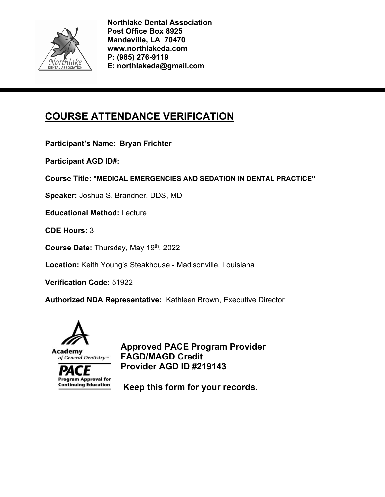

# **COURSE ATTENDANCE VERIFICATION**

**Participant's Name: Bryan Frichter** 

**Participant AGD ID#:** 

**Course Title: "MEDICAL EMERGENCIES AND SEDATION IN DENTAL PRACTICE"** 

**Speaker:** Joshua S. Brandner, DDS, MD

**Educational Method:** Lecture

**CDE Hours:** 3

**Course Date:** Thursday, May 19th, 2022

**Location:** Keith Young's Steakhouse - Madisonville, Louisiana

**Verification Code:** 51922

**Authorized NDA Representative:** Kathleen Brown, Executive Director



**Program Approval for Continuing Education** 

**Approved PACE Program Provider FAGD/MAGD Credit Provider AGD ID #219143**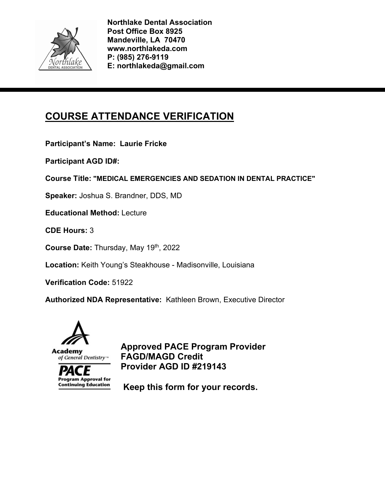

# **COURSE ATTENDANCE VERIFICATION**

**Participant's Name: Laurie Fricke** 

**Participant AGD ID#:** 

**Course Title: "MEDICAL EMERGENCIES AND SEDATION IN DENTAL PRACTICE"** 

**Speaker:** Joshua S. Brandner, DDS, MD

**Educational Method:** Lecture

**CDE Hours:** 3

**Course Date:** Thursday, May 19th, 2022

**Location:** Keith Young's Steakhouse - Madisonville, Louisiana

**Verification Code:** 51922

**Authorized NDA Representative:** Kathleen Brown, Executive Director



**Program Approval for Continuing Education** 

**Approved PACE Program Provider FAGD/MAGD Credit Provider AGD ID #219143**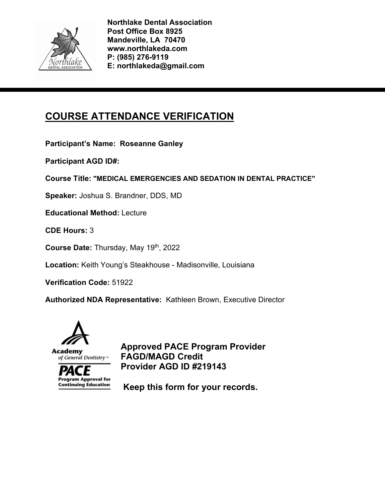

# **COURSE ATTENDANCE VERIFICATION**

**Participant's Name: Roseanne Ganley** 

**Participant AGD ID#:** 

**Course Title: "MEDICAL EMERGENCIES AND SEDATION IN DENTAL PRACTICE"** 

**Speaker:** Joshua S. Brandner, DDS, MD

**Educational Method:** Lecture

**CDE Hours:** 3

**Course Date:** Thursday, May 19th, 2022

**Location:** Keith Young's Steakhouse - Madisonville, Louisiana

**Verification Code:** 51922

**Authorized NDA Representative:** Kathleen Brown, Executive Director



**Program Approval for Continuing Education** 

**Approved PACE Program Provider FAGD/MAGD Credit Provider AGD ID #219143**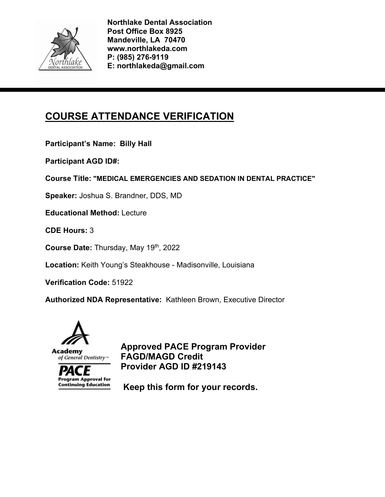

# **COURSE ATTENDANCE VERIFICATION**

**Participant's Name: Billy Hall** 

**Participant AGD ID#:** 

**Course Title: "MEDICAL EMERGENCIES AND SEDATION IN DENTAL PRACTICE"** 

**Speaker:** Joshua S. Brandner, DDS, MD

**Educational Method:** Lecture

**CDE Hours:** 3

**Course Date:** Thursday, May 19th, 2022

**Location:** Keith Young's Steakhouse - Madisonville, Louisiana

**Verification Code:** 51922

**Authorized NDA Representative:** Kathleen Brown, Executive Director



**Program Approval for Continuing Education** 

**Approved PACE Program Provider FAGD/MAGD Credit Provider AGD ID #219143**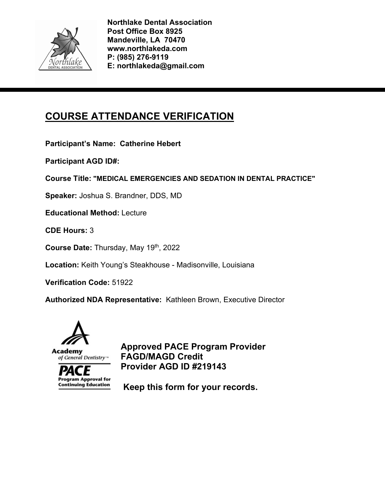

# **COURSE ATTENDANCE VERIFICATION**

**Participant's Name: Catherine Hebert** 

**Participant AGD ID#:** 

**Course Title: "MEDICAL EMERGENCIES AND SEDATION IN DENTAL PRACTICE"** 

**Speaker:** Joshua S. Brandner, DDS, MD

**Educational Method:** Lecture

**CDE Hours:** 3

**Course Date:** Thursday, May 19th, 2022

**Location:** Keith Young's Steakhouse - Madisonville, Louisiana

**Verification Code:** 51922

**Authorized NDA Representative:** Kathleen Brown, Executive Director



**Program Approval for Continuing Education** 

**Approved PACE Program Provider FAGD/MAGD Credit Provider AGD ID #219143**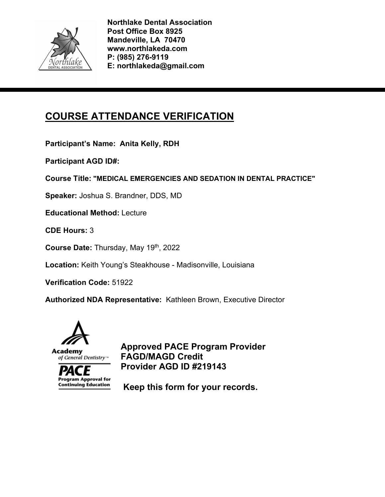

# **COURSE ATTENDANCE VERIFICATION**

**Participant's Name: Anita Kelly, RDH** 

**Participant AGD ID#:** 

**Course Title: "MEDICAL EMERGENCIES AND SEDATION IN DENTAL PRACTICE"** 

**Speaker:** Joshua S. Brandner, DDS, MD

**Educational Method:** Lecture

**CDE Hours:** 3

**Course Date:** Thursday, May 19th, 2022

**Location:** Keith Young's Steakhouse - Madisonville, Louisiana

**Verification Code:** 51922

**Authorized NDA Representative:** Kathleen Brown, Executive Director



**Program Approval for Continuing Education** 

**Approved PACE Program Provider FAGD/MAGD Credit Provider AGD ID #219143**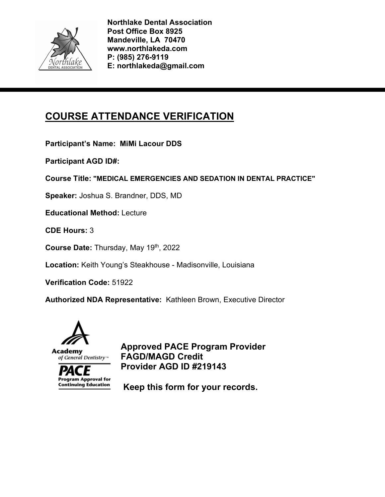

# **COURSE ATTENDANCE VERIFICATION**

**Participant's Name: MiMi Lacour DDS** 

**Participant AGD ID#:** 

**Course Title: "MEDICAL EMERGENCIES AND SEDATION IN DENTAL PRACTICE"** 

**Speaker:** Joshua S. Brandner, DDS, MD

**Educational Method:** Lecture

**CDE Hours:** 3

**Course Date:** Thursday, May 19th, 2022

**Location:** Keith Young's Steakhouse - Madisonville, Louisiana

**Verification Code:** 51922

**Authorized NDA Representative:** Kathleen Brown, Executive Director



**Program Approval for Continuing Education** 

**Approved PACE Program Provider FAGD/MAGD Credit Provider AGD ID #219143**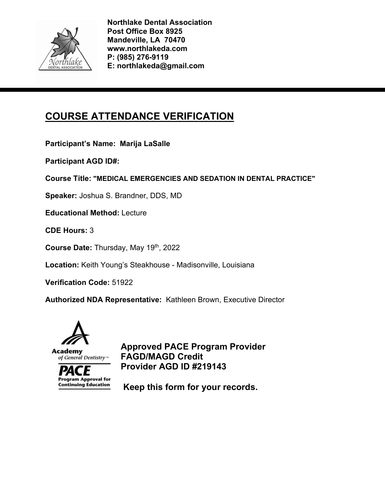

# **COURSE ATTENDANCE VERIFICATION**

**Participant's Name: Marija LaSalle** 

**Participant AGD ID#:** 

**Course Title: "MEDICAL EMERGENCIES AND SEDATION IN DENTAL PRACTICE"** 

**Speaker:** Joshua S. Brandner, DDS, MD

**Educational Method:** Lecture

**CDE Hours:** 3

**Course Date:** Thursday, May 19th, 2022

**Location:** Keith Young's Steakhouse - Madisonville, Louisiana

**Verification Code:** 51922

**Authorized NDA Representative:** Kathleen Brown, Executive Director



**Program Approval for Continuing Education** 

**Approved PACE Program Provider FAGD/MAGD Credit Provider AGD ID #219143**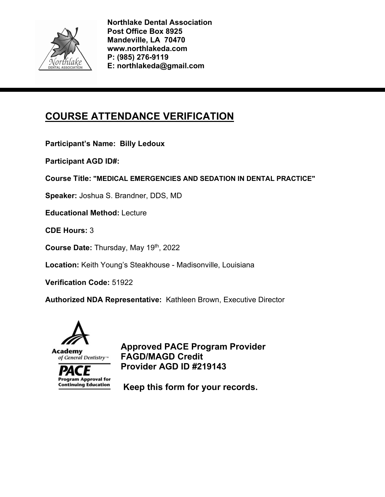

# **COURSE ATTENDANCE VERIFICATION**

**Participant's Name: Billy Ledoux** 

**Participant AGD ID#:** 

**Course Title: "MEDICAL EMERGENCIES AND SEDATION IN DENTAL PRACTICE"** 

**Speaker:** Joshua S. Brandner, DDS, MD

**Educational Method:** Lecture

**CDE Hours:** 3

**Course Date:** Thursday, May 19th, 2022

**Location:** Keith Young's Steakhouse - Madisonville, Louisiana

**Verification Code:** 51922

**Authorized NDA Representative:** Kathleen Brown, Executive Director



**Program Approval for Continuing Education** 

**Approved PACE Program Provider FAGD/MAGD Credit Provider AGD ID #219143**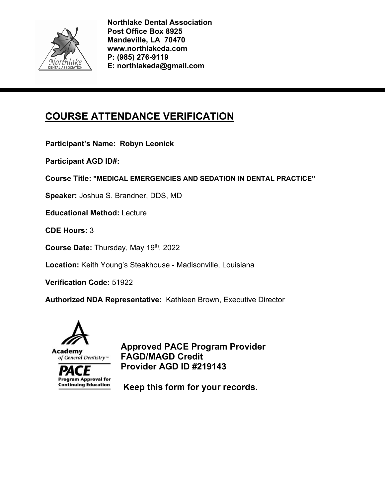

# **COURSE ATTENDANCE VERIFICATION**

**Participant's Name: Robyn Leonick** 

**Participant AGD ID#:** 

**Course Title: "MEDICAL EMERGENCIES AND SEDATION IN DENTAL PRACTICE"** 

**Speaker:** Joshua S. Brandner, DDS, MD

**Educational Method:** Lecture

**CDE Hours:** 3

**Course Date:** Thursday, May 19th, 2022

**Location:** Keith Young's Steakhouse - Madisonville, Louisiana

**Verification Code:** 51922

**Authorized NDA Representative:** Kathleen Brown, Executive Director



**Program Approval for Continuing Education** 

**Approved PACE Program Provider FAGD/MAGD Credit Provider AGD ID #219143**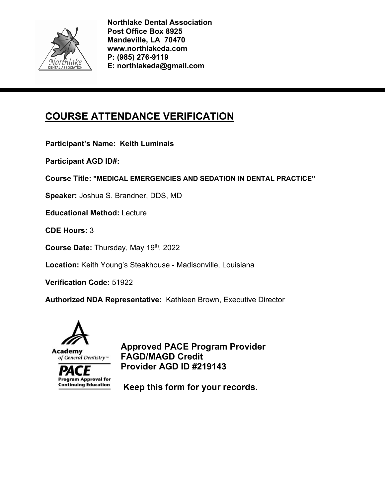

# **COURSE ATTENDANCE VERIFICATION**

**Participant's Name: Keith Luminais** 

**Participant AGD ID#:** 

**Course Title: "MEDICAL EMERGENCIES AND SEDATION IN DENTAL PRACTICE"** 

**Speaker:** Joshua S. Brandner, DDS, MD

**Educational Method:** Lecture

**CDE Hours:** 3

**Course Date:** Thursday, May 19th, 2022

**Location:** Keith Young's Steakhouse - Madisonville, Louisiana

**Verification Code:** 51922

**Authorized NDA Representative:** Kathleen Brown, Executive Director



**Program Approval for Continuing Education** 

**Approved PACE Program Provider FAGD/MAGD Credit Provider AGD ID #219143**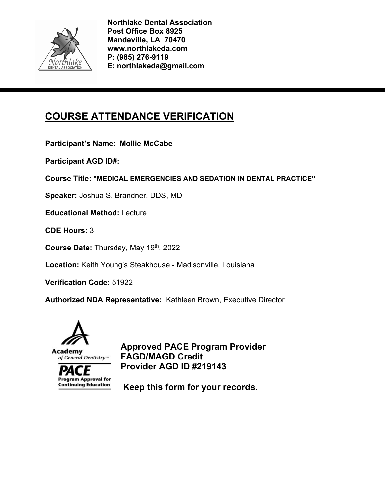

# **COURSE ATTENDANCE VERIFICATION**

**Participant's Name: Mollie McCabe** 

**Participant AGD ID#:** 

**Course Title: "MEDICAL EMERGENCIES AND SEDATION IN DENTAL PRACTICE"** 

**Speaker:** Joshua S. Brandner, DDS, MD

**Educational Method:** Lecture

**CDE Hours:** 3

**Course Date:** Thursday, May 19th, 2022

**Location:** Keith Young's Steakhouse - Madisonville, Louisiana

**Verification Code:** 51922

**Authorized NDA Representative:** Kathleen Brown, Executive Director



**Program Approval for Continuing Education** 

**Approved PACE Program Provider FAGD/MAGD Credit Provider AGD ID #219143**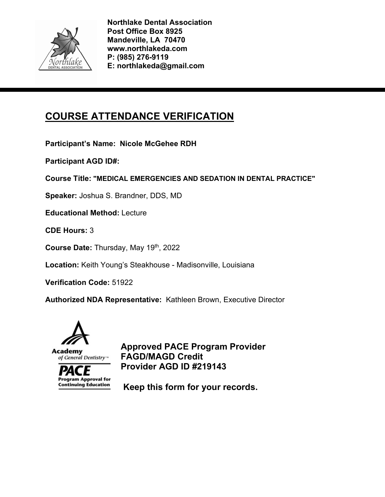

# **COURSE ATTENDANCE VERIFICATION**

**Participant's Name: Nicole McGehee RDH** 

**Participant AGD ID#:** 

**Course Title: "MEDICAL EMERGENCIES AND SEDATION IN DENTAL PRACTICE"** 

**Speaker:** Joshua S. Brandner, DDS, MD

**Educational Method:** Lecture

**CDE Hours:** 3

**Course Date:** Thursday, May 19th, 2022

**Location:** Keith Young's Steakhouse - Madisonville, Louisiana

**Verification Code:** 51922

**Authorized NDA Representative:** Kathleen Brown, Executive Director



**Program Approval for Continuing Education** 

**Approved PACE Program Provider FAGD/MAGD Credit Provider AGD ID #219143**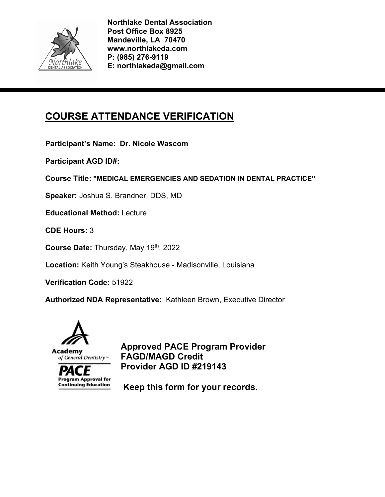

# **COURSE ATTENDANCE VERIFICATION**

**Participant's Name: Dr. Nicole Wascom** 

**Participant AGD ID#:** 

**Course Title: "MEDICAL EMERGENCIES AND SEDATION IN DENTAL PRACTICE"** 

**Speaker:** Joshua S. Brandner, DDS, MD

**Educational Method:** Lecture

**CDE Hours:** 3

**Course Date:** Thursday, May 19th, 2022

**Location:** Keith Young's Steakhouse - Madisonville, Louisiana

**Verification Code:** 51922

**Authorized NDA Representative:** Kathleen Brown, Executive Director



**Program Approval for Continuing Education** 

**Approved PACE Program Provider FAGD/MAGD Credit Provider AGD ID #219143**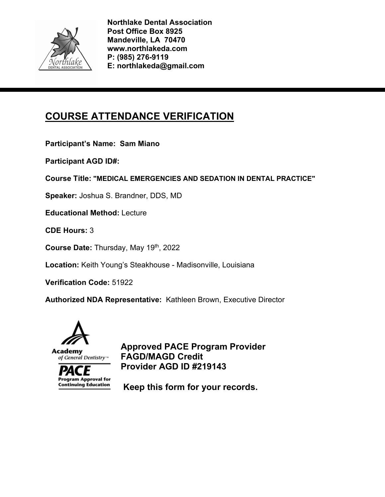

# **COURSE ATTENDANCE VERIFICATION**

**Participant's Name: Sam Miano** 

**Participant AGD ID#:** 

**Course Title: "MEDICAL EMERGENCIES AND SEDATION IN DENTAL PRACTICE"** 

**Speaker:** Joshua S. Brandner, DDS, MD

**Educational Method:** Lecture

**CDE Hours:** 3

**Course Date:** Thursday, May 19th, 2022

**Location:** Keith Young's Steakhouse - Madisonville, Louisiana

**Verification Code:** 51922

**Authorized NDA Representative:** Kathleen Brown, Executive Director



**Program Approval for Continuing Education** 

**Approved PACE Program Provider FAGD/MAGD Credit Provider AGD ID #219143**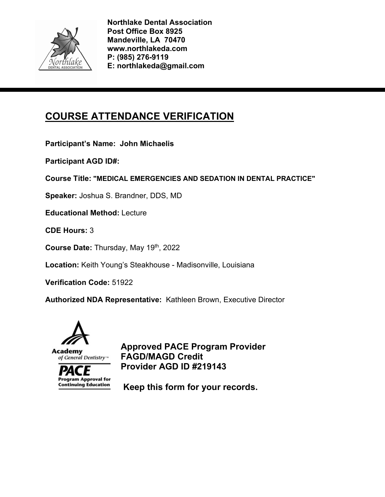

# **COURSE ATTENDANCE VERIFICATION**

**Participant's Name: John Michaelis** 

**Participant AGD ID#:** 

**Course Title: "MEDICAL EMERGENCIES AND SEDATION IN DENTAL PRACTICE"** 

**Speaker:** Joshua S. Brandner, DDS, MD

**Educational Method:** Lecture

**CDE Hours:** 3

**Course Date:** Thursday, May 19th, 2022

**Location:** Keith Young's Steakhouse - Madisonville, Louisiana

**Verification Code:** 51922

**Authorized NDA Representative:** Kathleen Brown, Executive Director



**Program Approval for Continuing Education** 

**Approved PACE Program Provider FAGD/MAGD Credit Provider AGD ID #219143**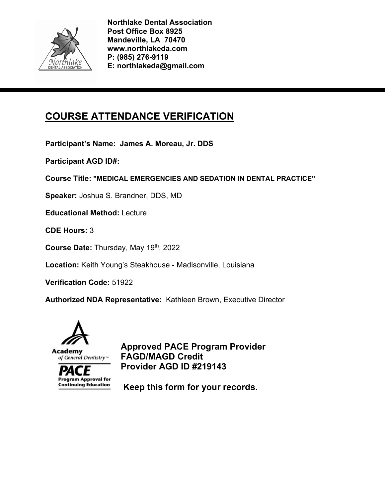

# **COURSE ATTENDANCE VERIFICATION**

**Participant's Name: James A. Moreau, Jr. DDS** 

**Participant AGD ID#:** 

**Course Title: "MEDICAL EMERGENCIES AND SEDATION IN DENTAL PRACTICE"** 

**Speaker:** Joshua S. Brandner, DDS, MD

**Educational Method:** Lecture

**CDE Hours:** 3

**Course Date:** Thursday, May 19th, 2022

**Location:** Keith Young's Steakhouse - Madisonville, Louisiana

**Verification Code:** 51922

**Authorized NDA Representative:** Kathleen Brown, Executive Director



**Program Approval for Continuing Education** 

**Approved PACE Program Provider FAGD/MAGD Credit Provider AGD ID #219143**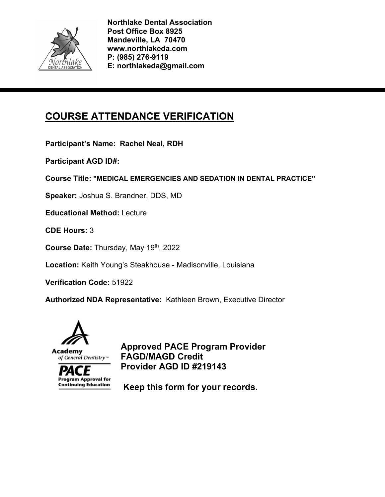

# **COURSE ATTENDANCE VERIFICATION**

**Participant's Name: Rachel Neal, RDH** 

**Participant AGD ID#:** 

**Course Title: "MEDICAL EMERGENCIES AND SEDATION IN DENTAL PRACTICE"** 

**Speaker:** Joshua S. Brandner, DDS, MD

**Educational Method:** Lecture

**CDE Hours:** 3

**Course Date:** Thursday, May 19th, 2022

**Location:** Keith Young's Steakhouse - Madisonville, Louisiana

**Verification Code:** 51922

**Authorized NDA Representative:** Kathleen Brown, Executive Director



**Program Approval for Continuing Education** 

**Approved PACE Program Provider FAGD/MAGD Credit Provider AGD ID #219143**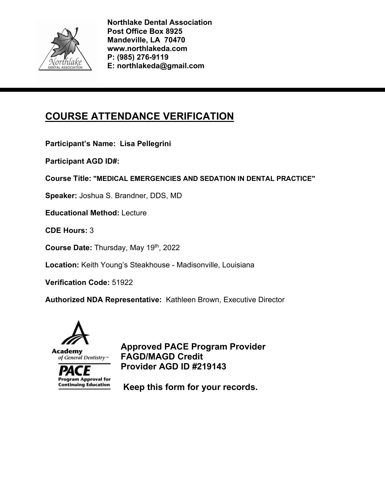

# **COURSE ATTENDANCE VERIFICATION**

**Participant's Name: Lisa Pellegrini** 

**Participant AGD ID#:** 

**Course Title: "MEDICAL EMERGENCIES AND SEDATION IN DENTAL PRACTICE"** 

**Speaker:** Joshua S. Brandner, DDS, MD

**Educational Method:** Lecture

**CDE Hours:** 3

**Course Date:** Thursday, May 19th, 2022

**Location:** Keith Young's Steakhouse - Madisonville, Louisiana

**Verification Code:** 51922

**Authorized NDA Representative:** Kathleen Brown, Executive Director



**Program Approval for Continuing Education** 

**Approved PACE Program Provider FAGD/MAGD Credit Provider AGD ID #219143**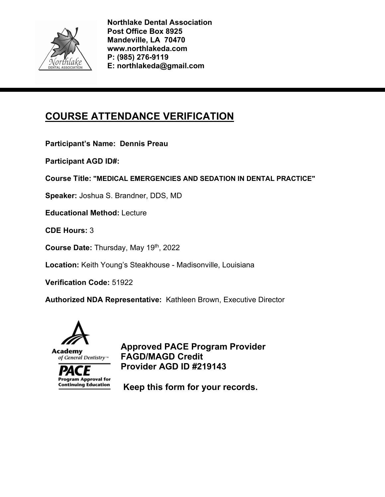

# **COURSE ATTENDANCE VERIFICATION**

**Participant's Name: Dennis Preau** 

**Participant AGD ID#:** 

**Course Title: "MEDICAL EMERGENCIES AND SEDATION IN DENTAL PRACTICE"** 

**Speaker:** Joshua S. Brandner, DDS, MD

**Educational Method:** Lecture

**CDE Hours:** 3

**Course Date:** Thursday, May 19th, 2022

**Location:** Keith Young's Steakhouse - Madisonville, Louisiana

**Verification Code:** 51922

**Authorized NDA Representative:** Kathleen Brown, Executive Director



**Program Approval for Continuing Education** 

**Approved PACE Program Provider FAGD/MAGD Credit Provider AGD ID #219143**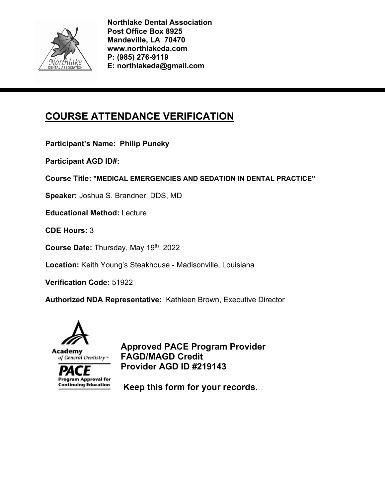

# **COURSE ATTENDANCE VERIFICATION**

**Participant's Name: Philip Puneky** 

**Participant AGD ID#:** 

**Course Title: "MEDICAL EMERGENCIES AND SEDATION IN DENTAL PRACTICE"** 

**Speaker:** Joshua S. Brandner, DDS, MD

**Educational Method:** Lecture

**CDE Hours:** 3

**Course Date:** Thursday, May 19th, 2022

**Location:** Keith Young's Steakhouse - Madisonville, Louisiana

**Verification Code:** 51922

**Authorized NDA Representative:** Kathleen Brown, Executive Director



**Program Approval for Continuing Education** 

**Approved PACE Program Provider FAGD/MAGD Credit Provider AGD ID #219143**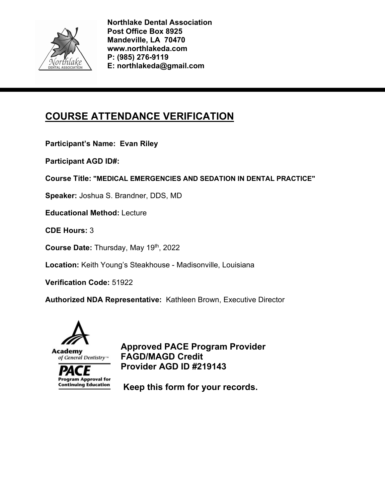

# **COURSE ATTENDANCE VERIFICATION**

**Participant's Name: Evan Riley** 

**Participant AGD ID#:** 

**Course Title: "MEDICAL EMERGENCIES AND SEDATION IN DENTAL PRACTICE"** 

**Speaker:** Joshua S. Brandner, DDS, MD

**Educational Method:** Lecture

**CDE Hours:** 3

**Course Date:** Thursday, May 19th, 2022

**Location:** Keith Young's Steakhouse - Madisonville, Louisiana

**Verification Code:** 51922

**Authorized NDA Representative:** Kathleen Brown, Executive Director



**Program Approval for Continuing Education** 

**Approved PACE Program Provider FAGD/MAGD Credit Provider AGD ID #219143**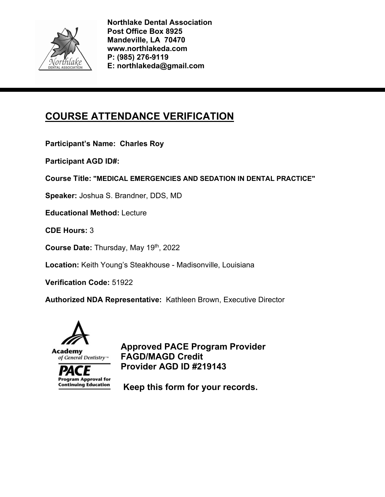

# **COURSE ATTENDANCE VERIFICATION**

**Participant's Name: Charles Roy** 

**Participant AGD ID#:** 

**Course Title: "MEDICAL EMERGENCIES AND SEDATION IN DENTAL PRACTICE"** 

**Speaker:** Joshua S. Brandner, DDS, MD

**Educational Method:** Lecture

**CDE Hours:** 3

**Course Date:** Thursday, May 19th, 2022

**Location:** Keith Young's Steakhouse - Madisonville, Louisiana

**Verification Code:** 51922

**Authorized NDA Representative:** Kathleen Brown, Executive Director



**Program Approval for Continuing Education** 

**Approved PACE Program Provider FAGD/MAGD Credit Provider AGD ID #219143**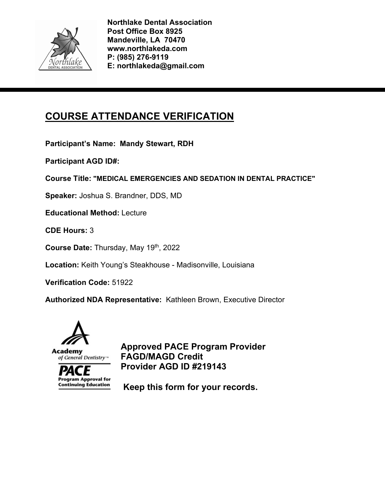

# **COURSE ATTENDANCE VERIFICATION**

**Participant's Name: Mandy Stewart, RDH** 

**Participant AGD ID#:** 

**Course Title: "MEDICAL EMERGENCIES AND SEDATION IN DENTAL PRACTICE"** 

**Speaker:** Joshua S. Brandner, DDS, MD

**Educational Method:** Lecture

**CDE Hours:** 3

**Course Date:** Thursday, May 19th, 2022

**Location:** Keith Young's Steakhouse - Madisonville, Louisiana

**Verification Code:** 51922

**Authorized NDA Representative:** Kathleen Brown, Executive Director



**Program Approval for Continuing Education** 

**Approved PACE Program Provider FAGD/MAGD Credit Provider AGD ID #219143**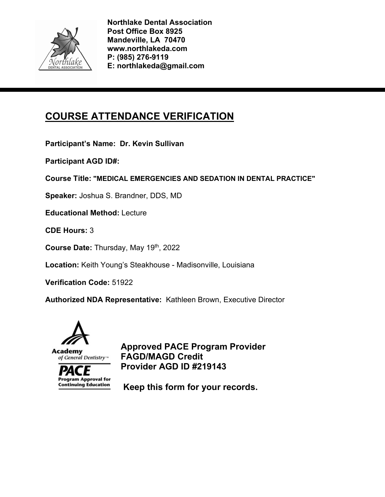

# **COURSE ATTENDANCE VERIFICATION**

**Participant's Name: Dr. Kevin Sullivan** 

**Participant AGD ID#:** 

**Course Title: "MEDICAL EMERGENCIES AND SEDATION IN DENTAL PRACTICE"** 

**Speaker:** Joshua S. Brandner, DDS, MD

**Educational Method:** Lecture

**CDE Hours:** 3

**Course Date:** Thursday, May 19th, 2022

**Location:** Keith Young's Steakhouse - Madisonville, Louisiana

**Verification Code:** 51922

**Authorized NDA Representative:** Kathleen Brown, Executive Director



**Program Approval for Continuing Education** 

**Approved PACE Program Provider FAGD/MAGD Credit Provider AGD ID #219143**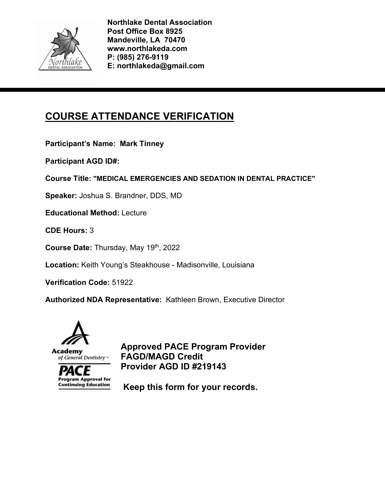

# **COURSE ATTENDANCE VERIFICATION**

**Participant's Name: Mark Tinney** 

**Participant AGD ID#:** 

**Course Title: "MEDICAL EMERGENCIES AND SEDATION IN DENTAL PRACTICE"** 

**Speaker:** Joshua S. Brandner, DDS, MD

**Educational Method:** Lecture

**CDE Hours:** 3

**Course Date:** Thursday, May 19th, 2022

**Location:** Keith Young's Steakhouse - Madisonville, Louisiana

**Verification Code:** 51922

**Authorized NDA Representative:** Kathleen Brown, Executive Director



**Program Approval for Continuing Education** 

**Approved PACE Program Provider FAGD/MAGD Credit Provider AGD ID #219143**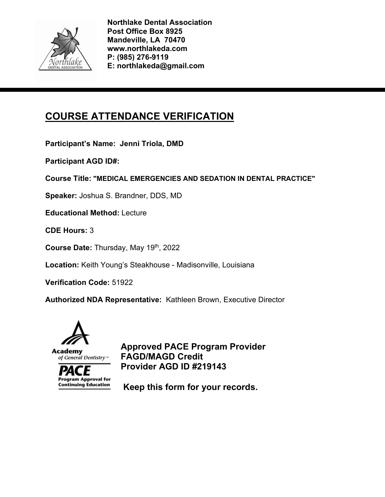

# **COURSE ATTENDANCE VERIFICATION**

**Participant's Name: Jenni Triola, DMD** 

**Participant AGD ID#:** 

**Course Title: "MEDICAL EMERGENCIES AND SEDATION IN DENTAL PRACTICE"** 

**Speaker:** Joshua S. Brandner, DDS, MD

**Educational Method:** Lecture

**CDE Hours:** 3

**Course Date:** Thursday, May 19th, 2022

**Location:** Keith Young's Steakhouse - Madisonville, Louisiana

**Verification Code:** 51922

**Authorized NDA Representative:** Kathleen Brown, Executive Director



**Program Approval for Continuing Education** 

**Approved PACE Program Provider FAGD/MAGD Credit Provider AGD ID #219143**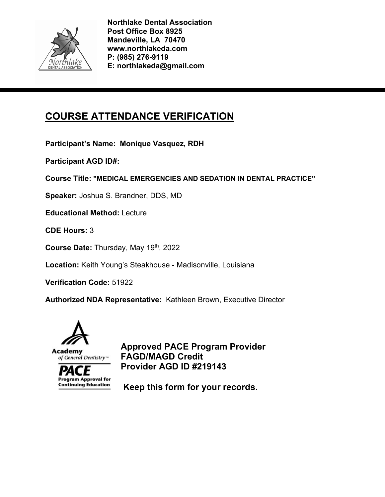

# **COURSE ATTENDANCE VERIFICATION**

**Participant's Name: Monique Vasquez, RDH** 

**Participant AGD ID#:** 

**Course Title: "MEDICAL EMERGENCIES AND SEDATION IN DENTAL PRACTICE"** 

**Speaker:** Joshua S. Brandner, DDS, MD

**Educational Method:** Lecture

**CDE Hours:** 3

**Course Date:** Thursday, May 19th, 2022

**Location:** Keith Young's Steakhouse - Madisonville, Louisiana

**Verification Code:** 51922

**Authorized NDA Representative:** Kathleen Brown, Executive Director



**Program Approval for Continuing Education** 

**Approved PACE Program Provider FAGD/MAGD Credit Provider AGD ID #219143**